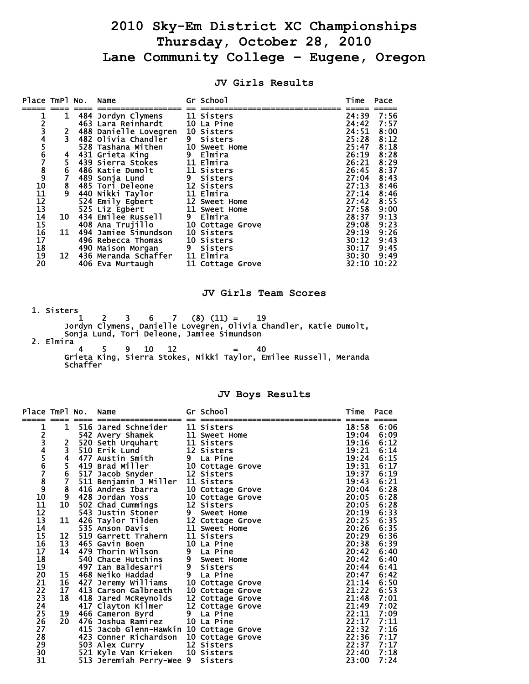# **2010 Sky-Em District XC Championships Thursday, October 28, 2010 Lane Community College – Eugene, Oregon**

| Place TmPl No. Name                     |               |                                  | Gr School        | Time  | Pace        |
|-----------------------------------------|---------------|----------------------------------|------------------|-------|-------------|
|                                         |               |                                  |                  |       |             |
|                                         | 1             | 484 Jordyn Clymens               | 11 Sisters       | 24:39 | 7:56        |
|                                         |               | 463 Lara Reinhardt               | 10 La Pine       | 24:42 | 7:57        |
|                                         |               | 488 Danielle Lovegren 10 Sisters |                  | 24:51 | 8:00        |
|                                         |               | 482 Olivia Chandler              | 9 Sisters        | 25:28 | 8:12        |
|                                         |               | 528 Tashana Mithen 10 Sweet Home |                  | 25:47 | 8:18        |
|                                         | 4             | 431 Grieta King                  | 9 Elmira         | 26:19 | 8:28        |
|                                         |               | 439 Sierra Stokes                | 11 Elmira        | 26:21 | 8:29        |
|                                         | $\frac{5}{6}$ | 486 Katie Dumolt                 | 11 Sisters       | 26:45 | 8:37        |
|                                         | Ž             | 489 Sonja Lund                   | 9 Sisters        | 27:04 | 8:43        |
| 12345678910                             |               | 485 Tori Deleone                 | 12 Sisters       | 27:13 | 8:46        |
| 11                                      | $\frac{8}{9}$ | 440 Nikki Taylor                 | 11 Elmira        | 27:14 | 8:46        |
| $\frac{12}{13}$                         |               | 524 Emily Egbert                 | 12 Sweet Home    | 27:42 | 8:55        |
|                                         |               | 525 Liz Egbert                   | 11 Sweet Home    | 27:58 | 9:00        |
|                                         | 10            | 434 Emilee Russell               | 9 Elmira         | 28:37 | 9:13        |
| $\begin{array}{c} 14 \\ 15 \end{array}$ |               | 408 Ana Trujillo                 | 10 Cottage Grove | 29:08 | 9:23        |
|                                         | 11            | 494 Jamiee Simundson             | 10 Sisters       | 29:19 | 9:26        |
| 16<br>17                                |               | 496 Rebecca Thomas               | 10 Sisters       | 30:12 | 9:43        |
| 18                                      |               | 490 Maison Morgan 9 Sisters      |                  | 30:17 | 9:45        |
| 19                                      | 12            | 436 Meranda Schaffer 11 Elmira   |                  | 30:30 | 9:49        |
| 20                                      |               | 406 Eva Murtaugh                 | 11 Cottage Grove |       | 32:10 10:22 |
|                                         |               |                                  |                  |       |             |

### **JV Girls Results**

#### **JV Girls Team Scores**

1. Sisters  $\frac{1}{1}$  $1 \quad 2 \quad 3 \quad 6 \quad 7 \quad (8) \quad (11) = \quad 19$  Jordyn Clymens, Danielle Lovegren, Olivia Chandler, Katie Dumolt, Sonja Lund, Tori Deleone, Jamiee Simundson 2. Elmira

 $4 \quad 5 \quad 9 \quad 10 \quad 12 \quad = \quad 40$  Grieta King, Sierra Stokes, Nikki Taylor, Emilee Russell, Meranda Schaffer

### **JV Boys Results**

| Place TmPl No.      |                | Name                                    |                | Gr School        | Time  | Pace |
|---------------------|----------------|-----------------------------------------|----------------|------------------|-------|------|
|                     |                |                                         |                |                  |       |      |
| 1                   | 1              | 516 Jared Schneider                     |                | 11 Sisters       | 18:58 | 6:06 |
|                     |                | 542 Avery Shamek                        |                | 11 Sweet Home    | 19:04 | 6:09 |
|                     | 2              | 520 Seth Urquhart                       |                | 11 Sisters       | 19:16 | 6:12 |
|                     | $\overline{3}$ | 510 Erik Lund                           |                | 12 Sisters       | 19:21 | 6:14 |
| 23456789            |                | 477 Austin Smith                        |                | 9 La Pine        | 19:24 | 6:15 |
|                     | $\frac{5}{6}$  | 419 Brad Miller                         |                | 10 Cottage Grove | 19:31 | 6:17 |
|                     |                | 517 Jacob Snyder                        |                | 12 Sisters       | 19:37 | 6:19 |
|                     | 7              | 511 Benjamin J Miller                   |                | 11 Sisters       | 19:43 | 6:21 |
|                     | 8              | 416 Andres Ibarra                       |                | 10 Cottage Grove | 20:04 | 6:28 |
| 10                  | 9              | 428 Jordan Yoss                         |                | 10 Cottage Grove | 20:05 | 6:28 |
| 11                  | 10             | 502 Chad Cummings                       |                | 12 Sisters       | 20:05 | 6:28 |
| 12                  |                | 543 Justin Stoner                       | 9              | Sweet Home       | 20:19 | 6:33 |
| 13                  | 11             | 426 Taylor Tilden                       |                | 12 Cottage Grove | 20:25 | 6:35 |
| 14                  |                | 535 Anson Davis                         |                | 11 Sweet Home    | 20:26 | 6:35 |
| 15                  | 12             | 519 Garrett Trahern                     |                | 11 Sisters       | 20:29 | 6:36 |
| 16                  | 13             | 465 Gavin Boen                          |                | 10 La Pine       | 20:38 | 6:39 |
| 17                  | 14             | 479 Thorin Wilson                       |                | 9 La Pine        | 20:42 | 6:40 |
| 18                  |                | 540 Chace Hutchins                      | 9              | Sweet Home       | 20:42 | 6:40 |
| 19                  |                | 497 Ian Baldesarri                      | 9 <sub>o</sub> | <b>Sisters</b>   | 20:44 | 6:41 |
| 20                  | 15             | 468 Neiko Haddad                        |                | 9 La Pine        | 20:47 | 6:42 |
| 21                  | 16             | 427 Jeremy Williams                     |                | 10 Cottage Grove | 21:14 | 6:50 |
| $\frac{2}{2}$<br>23 | 17             | 413 Carson Galbreath                    |                | 10 Cottage Grove | 21:22 | 6:53 |
|                     | 18             | 418 Jared McReynolds                    |                | 12 Cottage Grove | 21:48 | 7:01 |
| 24                  |                | 417 Clayton Kilmer                      |                | 12 Cottage Grove | 21:49 | 7:02 |
| 25                  | 19             | 466 Cameron Byrd                        | 9              | La Pine          | 22:11 | 7:09 |
| 26                  | 20             | 476 Joshua Ramirez                      |                | 10 La Pine       | 22:17 | 7:11 |
| 27                  |                | 415 Jacob Glenn-Hawkin 10 Cottage Grove |                |                  | 22:32 | 7:16 |
| 28                  |                | 423 Conner Richardson                   |                | 10 Cottage Grove | 22:36 | 7:17 |
| 29                  |                | 503 Alex Curry                          |                | 12 Sisters       | 22:37 | 7:17 |
| 30                  |                | 521 Kyle Van Krieken 10 Sisters         |                |                  | 22:40 | 7:18 |
| 31                  |                | 513 Jeremiah Perry-Wee 9                |                | <b>Sisters</b>   | 23:00 | 7:24 |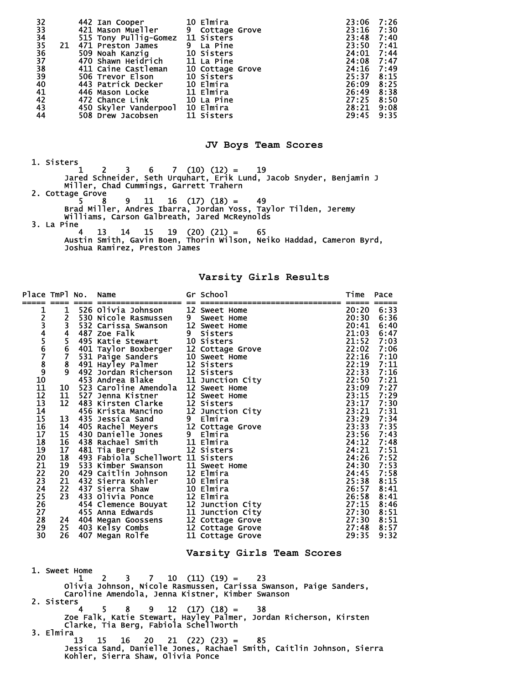| 32<br>33             |    | 442 Ian Cooper                   | 10 Elmira        | 23:06      | 7:26 |
|----------------------|----|----------------------------------|------------------|------------|------|
|                      |    | 421 Mason Mueller                | 9 Cottage Grove  | 23:16      | 7:30 |
| 34                   |    | 515 Tony Pullig-Gomez 11 Sisters |                  | 23:48      | 7:40 |
| 35                   | 21 | 471 Preston James                | 9 La Pine        | 23:50      | 7:41 |
|                      |    | 509 Noah Kanzig                  | 10 Sisters       | 24:01      | 7:44 |
|                      |    | 470 Shawn Heidrich               | 11 La Pine       | 24:08      | 7:47 |
| 36<br>37<br>38<br>39 |    | 411 Caine Castleman              | 10 Cottage Grove | 24:16      | 7:49 |
|                      |    | 506 Trevor Elson                 | 10 Sisters       | 25:37      | 8:15 |
| 40                   |    | 443 Patrick Decker               | 10 Elmira        | 26:09 8:25 |      |
| 41                   |    | 446 Mason Locke                  | 11 Elmira        | 26:49      | 8:38 |
| 42                   |    | 472 Chance Link                  | 10 La Pine       | 27:25      | 8:50 |
| $\overline{43}$      |    | 450 Skyler Vanderpool 10 Elmira  |                  | 28:21      | 9:08 |
| 44                   |    | 508 Drew Jacobsen                | 11 Sisters       | 29:45      | 9:35 |

## **JV Boys Team Scores**

 1. Sisters  $1 \quad 2 \quad 3 \quad 6 \quad 7 \quad (10) \quad (12) = \quad 19$  Jared Schneider, Seth Urquhart, Erik Lund, Jacob Snyder, Benjamin J Miller, Chad Cummings, Garrett Trahern 2. Cottage Grove  $5 \t 8 \t 9 \t 11 \t 16 \t (17) \t (18) = 49$  Brad Miller, Andres Ibarra, Jordan Yoss, Taylor Tilden, Jeremy Williams, Carson Galbreath, Jared McReynolds 3. La Pine 4 13 14 15 19 (20) (21) = 65 Austin Smith, Gavin Boen, Thorin Wilson, Neiko Haddad, Cameron Byrd, Joshua Ramirez, Preston James

**Varsity Girls Results** 

| Place TmPl No.                                                                                                                                                                                        |                                                                                                                                                        |    | Name<br>---------------                                                                                                                                                                                                                                                                                                                                                                                                                                                                                                                                                                                                                                                                                                                                                                                                                                                                                                                                 |  | Gr School                                                                                                                                                                                                                                                                | Time                                                                                                                                                                                                                                                                            | Pace                                                                                                                                                                                                                                 |  |
|-------------------------------------------------------------------------------------------------------------------------------------------------------------------------------------------------------|--------------------------------------------------------------------------------------------------------------------------------------------------------|----|---------------------------------------------------------------------------------------------------------------------------------------------------------------------------------------------------------------------------------------------------------------------------------------------------------------------------------------------------------------------------------------------------------------------------------------------------------------------------------------------------------------------------------------------------------------------------------------------------------------------------------------------------------------------------------------------------------------------------------------------------------------------------------------------------------------------------------------------------------------------------------------------------------------------------------------------------------|--|--------------------------------------------------------------------------------------------------------------------------------------------------------------------------------------------------------------------------------------------------------------------------|---------------------------------------------------------------------------------------------------------------------------------------------------------------------------------------------------------------------------------------------------------------------------------|--------------------------------------------------------------------------------------------------------------------------------------------------------------------------------------------------------------------------------------|--|
| 1<br>23456789<br>10<br>11<br>12<br>13<br>14<br>15<br>16<br>17<br>18<br>19<br>20<br>21<br>22<br>23<br>24<br>25<br>26<br>27<br>28<br>29<br>30                                                           | 1<br>$\overline{2}$<br>3<br>4<br>5.<br>6<br>$\mathbf{7}$<br>8<br>9<br>10<br>11<br>12<br>13<br>14<br>15<br>16<br>17<br>18<br>19<br>20<br>21<br>22<br>26 |    | 526 Olivia Johnson 12 Sweet Home<br>530 Nicole Rasmussen 9 Sweet Home<br>532 Carissa Swanson<br>487 Zoe Falk<br>495 Katie Stewart<br>401 Taylor Boxberger<br>531 Paige Sanders<br>531 Paige Sanders<br>491 Hayley Palmer<br>492 Jordan Richerson<br>453 Andrea Blake<br>523 Caroline Amendola<br>527 Jenna Kistner<br>227 Jenna Kistner<br>483 Kirsta Marche 12 Sweet Home<br>456 Krista Marche 12 Junction City<br>435 Jessica Sand 9 Elmira<br>405 Rachel Meyers 12 Cottage Grove<br>430 Danielle Jones 9 Elmira<br>438 Rachael Smith 11 Elmira<br>481 Tia Berg<br>481 Tia Berg<br>493 Fabiola Schellwort 11 Sisters<br>533 Kimber Swanson<br>429 Caitlin Johnson<br>429 Circus Kablem<br>432 Sierra Kohler<br>437 Sierra Shaw<br>22 437 Sierra Suaw<br>23 433 Olivia Ponce<br>455 Anna Edwards<br>455 Anna Edwards<br>24 404 Megan Goossens<br>25 403 Kelsy Combs<br>25 403 Kelsy Combs<br>26 407 Megan Polfe<br>11 Cottage Grove<br>407 Megan Rolfe |  | 12 Sweet Home<br>9 Sisters<br>10 Sisters<br>12 Cottage Grove<br>10 Sweet Home<br>12 Sisters<br>12 Sisters<br>11 Junction City<br>12 Sweet Home<br>12 Sweet Home<br>11 Sweet Home<br>12 Elmira<br>10 Elmira<br>10 Elmira<br>11 Cottage Grove<br>Varsity Girls Team Scores | 20:20<br>20:30<br>20:41<br>21:03<br>21:52<br>22:02<br>22:16<br>22:19<br>22:33<br>22:50<br>23:09<br>23:15<br>23:17<br>23:21<br>23:29<br>23:33<br>23:56<br>24:12<br>24:21<br>24:26<br>24:30<br>24:45<br>25:38<br>26:57<br>26:58<br>27:15<br>27:30<br>27:30 8:51<br>27:48<br>29:35 | 6:33<br>6:36<br>6:40<br>6:47<br>7:03<br>7:06<br>7:10<br>7:11<br>7:16<br>7:21<br>7:27<br>7:29<br>7:30<br>7:31<br>7:34<br>7:35<br>7:43<br>7:48<br>7:51<br>7:52<br>7:53<br>7:58<br>8:15<br>8:41<br>8:41<br>8:46<br>8:51<br>8:57<br>9:32 |  |
| 1. Sweet Home<br>$10(11)(19) =$<br>23<br>1<br>2<br>$7 -$<br>3.<br>Olivia Johnson, Nicole Rasmussen, Carissa Swanson, Paige Sanders,<br>Caroline Amendola, Jenna Kistner, Kimber Swanson<br>2. Sisters |                                                                                                                                                        |    |                                                                                                                                                                                                                                                                                                                                                                                                                                                                                                                                                                                                                                                                                                                                                                                                                                                                                                                                                         |  |                                                                                                                                                                                                                                                                          |                                                                                                                                                                                                                                                                                 |                                                                                                                                                                                                                                      |  |
| $12 \quad (17) \quad (18) =$<br>4<br>5.<br>8.<br>9<br>38<br>Zoe Falk, Katie Stewart, Hayley Palmer, Jordan Richerson, Kirsten<br>Clarke, Tia Berg, Fabiola Schellworth<br>3. Elmira                   |                                                                                                                                                        |    |                                                                                                                                                                                                                                                                                                                                                                                                                                                                                                                                                                                                                                                                                                                                                                                                                                                                                                                                                         |  |                                                                                                                                                                                                                                                                          |                                                                                                                                                                                                                                                                                 |                                                                                                                                                                                                                                      |  |
|                                                                                                                                                                                                       |                                                                                                                                                        | 13 | 15<br>16<br>Kohler, Sierra Shaw, Olivia Ponce                                                                                                                                                                                                                                                                                                                                                                                                                                                                                                                                                                                                                                                                                                                                                                                                                                                                                                           |  | $20 \t21 \t(22) \t(23) =$<br>85<br>Jessica Sand, Danielle Jones, Rachael Smith, Caitlin Johnson, Sierra                                                                                                                                                                  |                                                                                                                                                                                                                                                                                 |                                                                                                                                                                                                                                      |  |